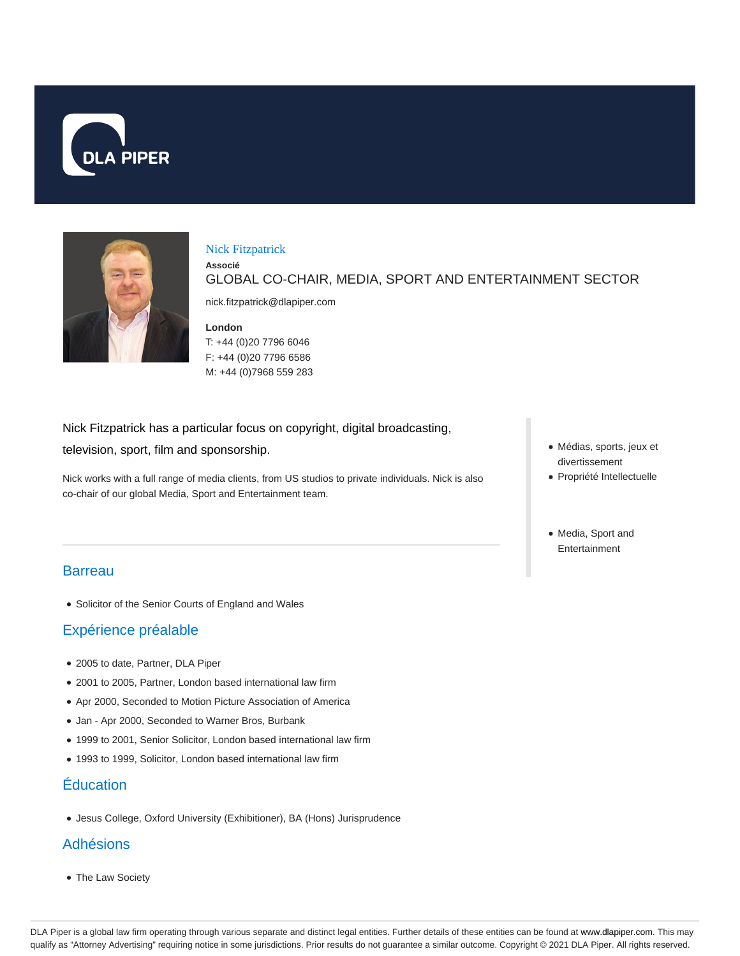



#### Nick Fitzpatrick

GLOBAL CO-CHAIR, MEDIA, SPORT AND ENTERTAINMENT SECTOR

nick.fitzpatrick@dlapiper.com

#### **London**

**Associé**

T: +44 (0)20 7796 6046 F: +44 (0)20 7796 6586 M: +44 (0)7968 559 283

Nick Fitzpatrick has a particular focus on copyright, digital broadcasting,

television, sport, film and sponsorship.

Nick works with a full range of media clients, from US studios to private individuals. Nick is also co-chair of our global Media, Sport and Entertainment team.

### **Barreau**

Solicitor of the Senior Courts of England and Wales

# Expérience préalable

- 2005 to date, Partner, DLA Piper
- 2001 to 2005, Partner, London based international law firm
- Apr 2000, Seconded to Motion Picture Association of America
- Jan Apr 2000, Seconded to Warner Bros, Burbank
- 1999 to 2001, Senior Solicitor, London based international law firm
- 1993 to 1999, Solicitor, London based international law firm

### **Éducation**

Jesus College, Oxford University (Exhibitioner), BA (Hons) Jurisprudence

#### Adhésions

The Law Society

- Médias, sports, jeux et divertissement
- Propriété Intellectuelle
- Media, Sport and Entertainment